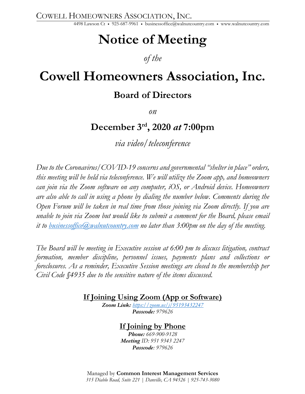COWELL HOMEOWNERS ASSOCIATION, INC.

4498 Lawson Ct • 925-687-9961 • businessoffice@walnutcountry.com • www.walnutcountry.com

# **Notice of Meeting**

## *of the*

# **Cowell Homeowners Association, Inc.**

## **Board of Directors**

*on*

# **December 3rd , 2020** *at* **7:00pm**

*via video/teleconference*

*Due to the Coronavirus/COVID-19 concerns and governmental "shelter in place" orders, this meeting will be held via teleconference. We will utilize the Zoom app, and homeowners can join via the Zoom software on any computer, iOS, or Android device. Homeowners are also able to call in using a phone by dialing the number below. Comments during the Open Forum will be taken in real time from those joining via Zoom directly. If you are unable to join via Zoom but would like to submit a comment for the Board, please email it to businessoffice@walnutcountry.com no later than 3:00pm on the day of the meeting.*

*The Board will be meeting in Executive session at 6:00 pm to discuss litigation, contract formation, member discipline, personnel issues, payments plans and collections or foreclosures. As a reminder, Executive Session meetings are closed to the membership per Civil Code §4935 due to the sensitive nature of the items discussed.* 

**If Joining Using Zoom (App or Software)**

*Zoom Link: https://zoom.us/j/95193432247 Passcode: 979626*

### **If Joining by Phone**

*Phone: 669-900-9128 Meeting ID: 951 9343 2247 Passcode: 979626*

Managed by **Common Interest Management Services** *315 Diablo Road, Suite 221 | Danville, CA 94526 | 925-743-3080*